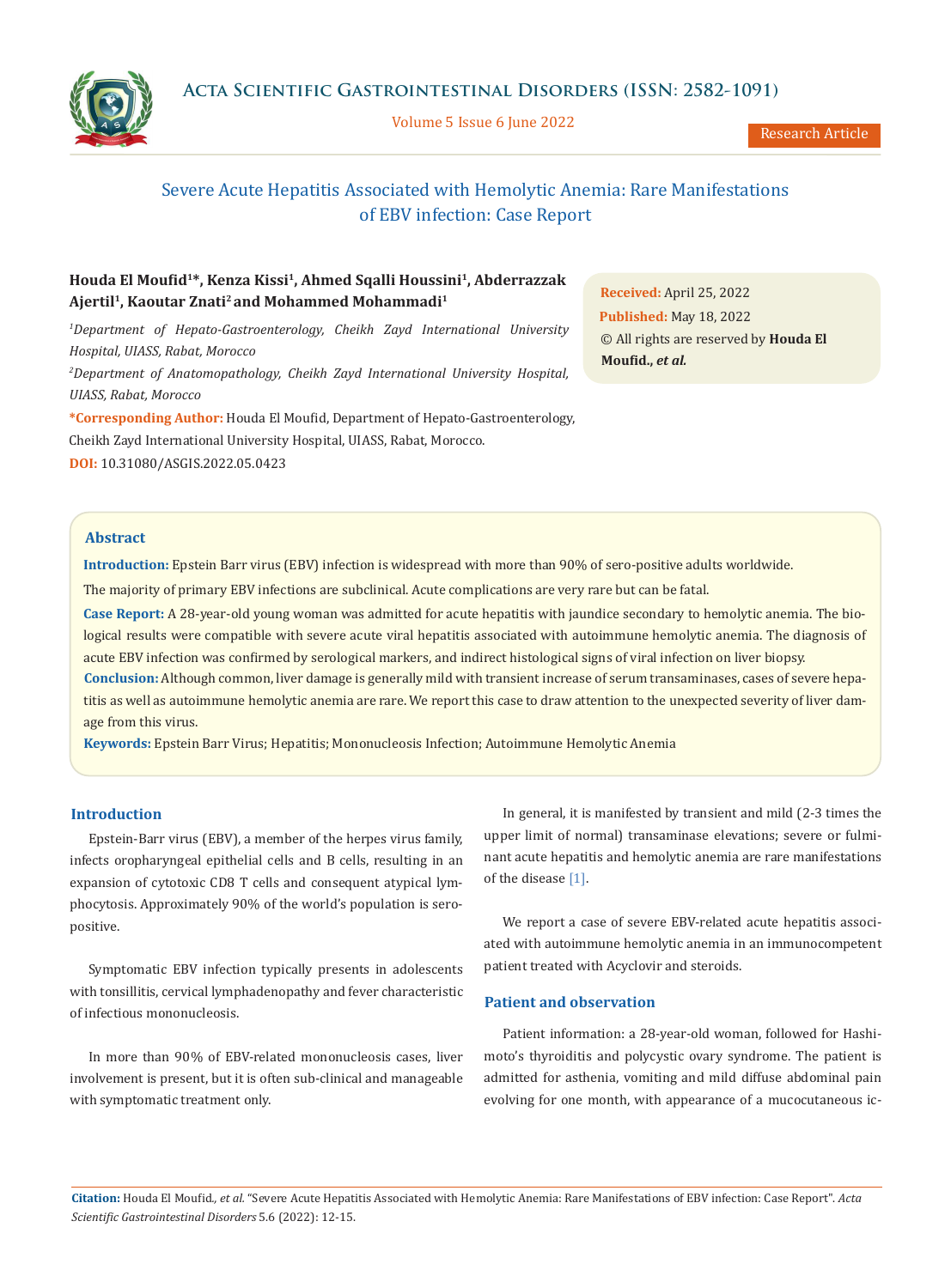**Acta Scientific Gastrointestinal Disorders (ISSN: 2582-1091)**



Volume 5 Issue 6 June 2022

Research Article

# Severe Acute Hepatitis Associated with Hemolytic Anemia: Rare Manifestations of EBV infection: Case Report

## **Houda El Moufid<sup>1</sup>\*, Kenza Kissi<sup>1</sup>, Ahmed Sqalli Houssini1, Abderrazzak Ajertil<sup>1</sup>, Kaoutar Znati<sup>2</sup>and Mohammed Mohammadi<sup>1</sup>**

<sup>1</sup>Department of Hepato-Gastroenterology, Cheikh Zayd International University *Hospital, UIASS, Rabat, Morocco 2 Department of Anatomopathology, Cheikh Zayd International University Hospital,* 

**\*Corresponding Author:** Houda El Moufid, Department of Hepato-Gastroenterology, Cheikh Zayd International University Hospital, UIASS, Rabat, Morocco. **DOI:** [10.31080/ASGIS.2022.05.0423](https://actascientific.com/ASGIS/pdf/ASGIS-05-0423.pdf)

**Received:** April 25, 2022 **Published:** May 18, 2022 © All rights are reserved by **Houda El Moufid.,** *et al.*

### **Abstract**

*UIASS, Rabat, Morocco*

**Introduction:** Epstein Barr virus (EBV) infection is widespread with more than 90% of sero-positive adults worldwide.

The majority of primary EBV infections are subclinical. Acute complications are very rare but can be fatal.

**Case Report:** A 28-year-old young woman was admitted for acute hepatitis with jaundice secondary to hemolytic anemia. The biological results were compatible with severe acute viral hepatitis associated with autoimmune hemolytic anemia. The diagnosis of acute EBV infection was confirmed by serological markers, and indirect histological signs of viral infection on liver biopsy.

**Conclusion:** Although common, liver damage is generally mild with transient increase of serum transaminases, cases of severe hepatitis as well as autoimmune hemolytic anemia are rare. We report this case to draw attention to the unexpected severity of liver damage from this virus.

**Keywords:** Epstein Barr Virus; Hepatitis; Mononucleosis Infection; Autoimmune Hemolytic Anemia

### **Introduction**

Epstein-Barr virus (EBV), a member of the herpes virus family, infects oropharyngeal epithelial cells and B cells, resulting in an expansion of cytotoxic CD8 T cells and consequent atypical lymphocytosis. Approximately 90% of the world's population is seropositive.

Symptomatic EBV infection typically presents in adolescents with tonsillitis, cervical lymphadenopathy and fever characteristic of infectious mononucleosis.

In more than 90% of EBV-related mononucleosis cases, liver involvement is present, but it is often sub-clinical and manageable with symptomatic treatment only.

In general, it is manifested by transient and mild (2-3 times the upper limit of normal) transaminase elevations; severe or fulminant acute hepatitis and hemolytic anemia are rare manifestations of the disease [1].

We report a case of severe EBV-related acute hepatitis associated with autoimmune hemolytic anemia in an immunocompetent patient treated with Acyclovir and steroids.

## **Patient and observation**

Patient information: a 28-year-old woman, followed for Hashimoto's thyroiditis and polycystic ovary syndrome. The patient is admitted for asthenia, vomiting and mild diffuse abdominal pain evolving for one month, with appearance of a mucocutaneous ic-

**Citation:** Houda El Moufid*., et al.* "Severe Acute Hepatitis Associated with Hemolytic Anemia: Rare Manifestations of EBV infection: Case Report". *Acta Scientific Gastrointestinal Disorders* 5.6 (2022): 12-15.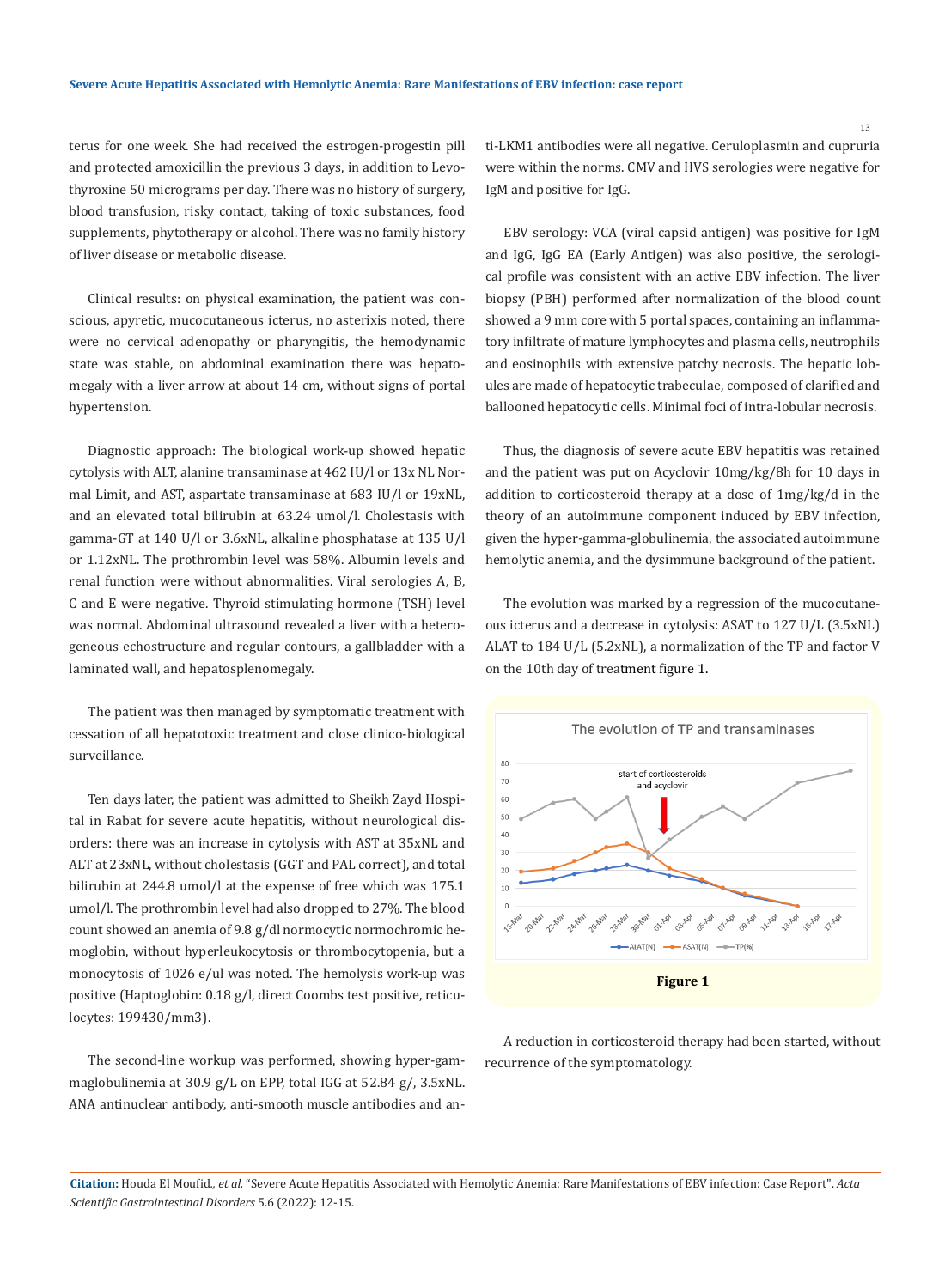terus for one week. She had received the estrogen-progestin pill and protected amoxicillin the previous 3 days, in addition to Levothyroxine 50 micrograms per day. There was no history of surgery, blood transfusion, risky contact, taking of toxic substances, food supplements, phytotherapy or alcohol. There was no family history of liver disease or metabolic disease.

Clinical results: on physical examination, the patient was conscious, apyretic, mucocutaneous icterus, no asterixis noted, there were no cervical adenopathy or pharyngitis, the hemodynamic state was stable, on abdominal examination there was hepatomegaly with a liver arrow at about 14 cm, without signs of portal hypertension.

Diagnostic approach: The biological work-up showed hepatic cytolysis with ALT, alanine transaminase at 462 IU/l or 13x NL Normal Limit, and AST, aspartate transaminase at 683 IU/l or 19xNL, and an elevated total bilirubin at 63.24 umol/l. Cholestasis with gamma-GT at 140 U/l or 3.6xNL, alkaline phosphatase at 135 U/l or 1.12xNL. The prothrombin level was 58%. Albumin levels and renal function were without abnormalities. Viral serologies A, B, C and E were negative. Thyroid stimulating hormone (TSH) level was normal. Abdominal ultrasound revealed a liver with a heterogeneous echostructure and regular contours, a gallbladder with a laminated wall, and hepatosplenomegaly.

The patient was then managed by symptomatic treatment with cessation of all hepatotoxic treatment and close clinico-biological surveillance.

Ten days later, the patient was admitted to Sheikh Zayd Hospital in Rabat for severe acute hepatitis, without neurological disorders: there was an increase in cytolysis with AST at 35xNL and ALT at 23xNL, without cholestasis (GGT and PAL correct), and total bilirubin at 244.8 umol/l at the expense of free which was 175.1 umol/l. The prothrombin level had also dropped to 27%. The blood count showed an anemia of 9.8 g/dl normocytic normochromic hemoglobin, without hyperleukocytosis or thrombocytopenia, but a monocytosis of 1026 e/ul was noted. The hemolysis work-up was positive (Haptoglobin: 0.18 g/l, direct Coombs test positive, reticulocytes: 199430/mm3).

The second-line workup was performed, showing hyper-gammaglobulinemia at 30.9 g/L on EPP, total IGG at 52.84 g/, 3.5xNL. ANA antinuclear antibody, anti-smooth muscle antibodies and anti-LKM1 antibodies were all negative. Ceruloplasmin and cupruria were within the norms. CMV and HVS serologies were negative for IgM and positive for IgG.

EBV serology: VCA (viral capsid antigen) was positive for IgM and IgG, IgG EA (Early Antigen) was also positive, the serological profile was consistent with an active EBV infection. The liver biopsy (PBH) performed after normalization of the blood count showed a 9 mm core with 5 portal spaces, containing an inflammatory infiltrate of mature lymphocytes and plasma cells, neutrophils and eosinophils with extensive patchy necrosis. The hepatic lobules are made of hepatocytic trabeculae, composed of clarified and ballooned hepatocytic cells. Minimal foci of intra-lobular necrosis.

Thus, the diagnosis of severe acute EBV hepatitis was retained and the patient was put on Acyclovir 10mg/kg/8h for 10 days in addition to corticosteroid therapy at a dose of 1mg/kg/d in the theory of an autoimmune component induced by EBV infection, given the hyper-gamma-globulinemia, the associated autoimmune hemolytic anemia, and the dysimmune background of the patient.

The evolution was marked by a regression of the mucocutaneous icterus and a decrease in cytolysis: ASAT to 127 U/L (3.5xNL) ALAT to 184 U/L (5.2xNL), a normalization of the TP and factor V on the 10th day of treatment figure 1.



A reduction in corticosteroid therapy had been started, without recurrence of the symptomatology.

### **Citation:** Houda El Moufid*., et al.* "Severe Acute Hepatitis Associated with Hemolytic Anemia: Rare Manifestations of EBV infection: Case Report". *Acta Scientific Gastrointestinal Disorders* 5.6 (2022): 12-15.

13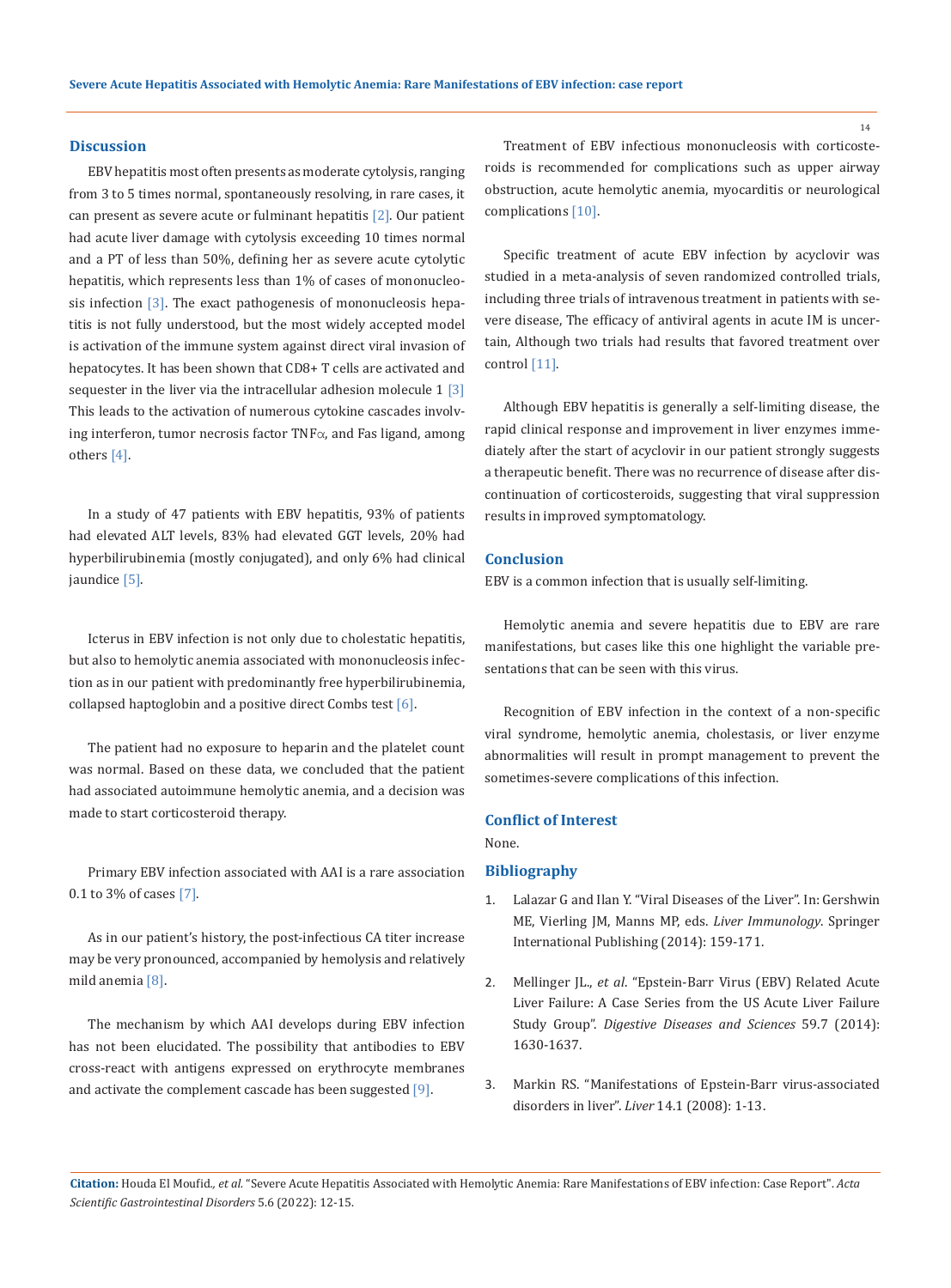#### **Discussion**

EBV hepatitis most often presents as moderate cytolysis, ranging from 3 to 5 times normal, spontaneously resolving, in rare cases, it can present as severe acute or fulminant hepatitis  $[2]$ . Our patient had acute liver damage with cytolysis exceeding 10 times normal and a PT of less than 50%, defining her as severe acute cytolytic hepatitis, which represents less than 1% of cases of mononucleosis infection [3]. The exact pathogenesis of mononucleosis hepatitis is not fully understood, but the most widely accepted model is activation of the immune system against direct viral invasion of hepatocytes. It has been shown that CD8+ T cells are activated and sequester in the liver via the intracellular adhesion molecule  $1 \, 3$ This leads to the activation of numerous cytokine cascades involving interferon, tumor necrosis factor TNFα, and Fas ligand, among others [4].

In a study of 47 patients with EBV hepatitis, 93% of patients had elevated ALT levels, 83% had elevated GGT levels, 20% had hyperbilirubinemia (mostly conjugated), and only 6% had clinical jaundice [5].

Icterus in EBV infection is not only due to cholestatic hepatitis, but also to hemolytic anemia associated with mononucleosis infection as in our patient with predominantly free hyperbilirubinemia, collapsed haptoglobin and a positive direct Combs test [6].

The patient had no exposure to heparin and the platelet count was normal. Based on these data, we concluded that the patient had associated autoimmune hemolytic anemia, and a decision was made to start corticosteroid therapy.

Primary EBV infection associated with AAI is a rare association 0.1 to 3% of cases [7].

As in our patient's history, the post-infectious CA titer increase may be very pronounced, accompanied by hemolysis and relatively mild anemia [8].

The mechanism by which AAI develops during EBV infection has not been elucidated. The possibility that antibodies to EBV cross-react with antigens expressed on erythrocyte membranes and activate the complement cascade has been suggested [9].

Treatment of EBV infectious mononucleosis with corticosteroids is recommended for complications such as upper airway obstruction, acute hemolytic anemia, myocarditis or neurological complications [10].

Specific treatment of acute EBV infection by acyclovir was studied in a meta-analysis of seven randomized controlled trials, including three trials of intravenous treatment in patients with severe disease, The efficacy of antiviral agents in acute IM is uncertain, Although two trials had results that favored treatment over control [11].

Although EBV hepatitis is generally a self-limiting disease, the rapid clinical response and improvement in liver enzymes immediately after the start of acyclovir in our patient strongly suggests a therapeutic benefit. There was no recurrence of disease after discontinuation of corticosteroids, suggesting that viral suppression results in improved symptomatology.

## **Conclusion**

EBV is a common infection that is usually self-limiting.

Hemolytic anemia and severe hepatitis due to EBV are rare manifestations, but cases like this one highlight the variable presentations that can be seen with this virus.

Recognition of EBV infection in the context of a non-specific viral syndrome, hemolytic anemia, cholestasis, or liver enzyme abnormalities will result in prompt management to prevent the sometimes-severe complications of this infection.

#### **Conflict of Interest**

None.

#### **Bibliography**

- 1. [Lalazar G and Ilan Y. "Viral Diseases of the Liver". In: Gershwin](https://link.springer.com/chapter/10.1007/978-3-319-02096-9_12)  [ME, Vierling JM, Manns MP, eds.](https://link.springer.com/chapter/10.1007/978-3-319-02096-9_12) *Liver Immunology*. Springer [International Publishing \(2014\): 159-171.](https://link.springer.com/chapter/10.1007/978-3-319-02096-9_12)
- 2. Mellinger JL., *et al*[. "Epstein-Barr Virus \(EBV\) Related Acute](https://pubmed.ncbi.nlm.nih.gov/24464209/)  [Liver Failure: A Case Series from the US Acute Liver Failure](https://pubmed.ncbi.nlm.nih.gov/24464209/)  Study Group". *[Digestive Diseases and Sciences](https://pubmed.ncbi.nlm.nih.gov/24464209/)* 59.7 (2014): [1630-1637.](https://pubmed.ncbi.nlm.nih.gov/24464209/)
- 3. [Markin RS. "Manifestations of Epstein-Barr virus-associated](https://pubmed.ncbi.nlm.nih.gov/8177024/)  disorders in liver". *Liver* [14.1 \(2008\): 1-13.](https://pubmed.ncbi.nlm.nih.gov/8177024/)

**Citation:** Houda El Moufid*., et al.* "Severe Acute Hepatitis Associated with Hemolytic Anemia: Rare Manifestations of EBV infection: Case Report". *Acta Scientific Gastrointestinal Disorders* 5.6 (2022): 12-15.

14